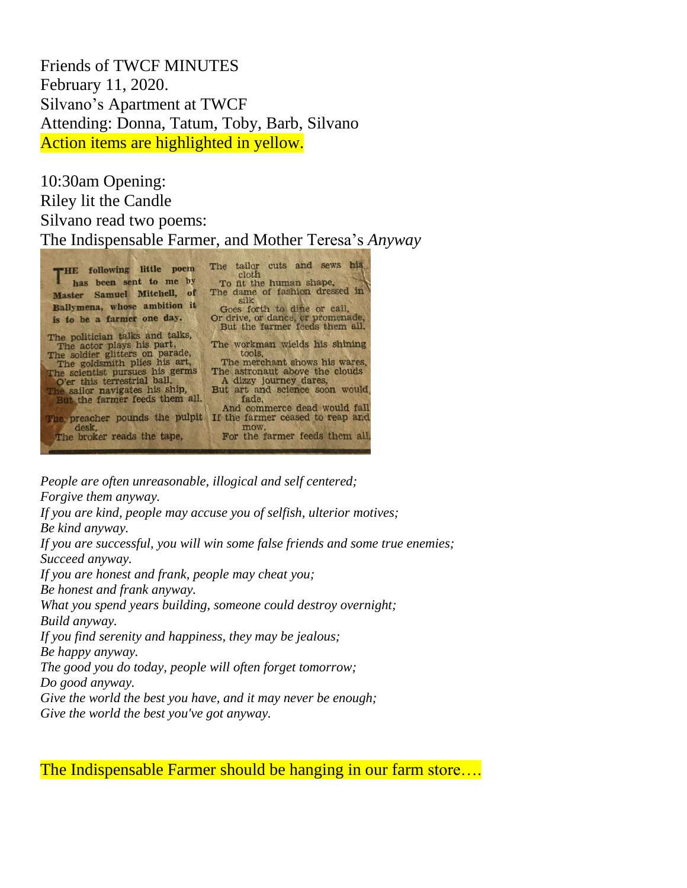Friends of TWCF MINUTES February 11, 2020. Silvano's Apartment at TWCF Attending: Donna, Tatum, Toby, Barb, Silvano Action items are highlighted in yellow.

10:30am Opening: Riley lit the Candle Silvano read two poems: The Indispensable Farmer, and Mother Teresa's *Anyway*

| THE following little poem<br>has been sent to me by             | The tailor cuts and sews his<br>cloth<br>To fit the human shape,    |
|-----------------------------------------------------------------|---------------------------------------------------------------------|
| Master Samuel Mitchell, of                                      | The dame of fashion dressed in<br>silk                              |
| Ballymena, whose ambition it                                    | Goes forth to dine or call,                                         |
| is to be a farmer one day.                                      | Or drive, or dance, or promenade,<br>But the farmer feeds them all. |
| The politician talks and talks,                                 |                                                                     |
| The actor plays his part,                                       | The workman wields his shining                                      |
| The soldier glitters on parade,                                 | tools.<br>The merchant shows his wares,                             |
| The goldsmith plies his art,<br>The scientist pursues his germs | The astronaut above the clouds                                      |
| O'er this terrestrial ball,                                     | A dizzy journey dares.                                              |
| The sailor navigates his ship,                                  | But art and science soon would                                      |
| But the farmer feeds them all.                                  | fade.                                                               |
|                                                                 | And commerce dead would fall                                        |
| The preacher pounds the pulpit<br>desk.                         | If the farmer ceased to reap and<br>mow.                            |
| The broker reads the tape,                                      | For the farmer feeds them all                                       |
|                                                                 |                                                                     |

*People are often unreasonable, illogical and self centered; Forgive them anyway.*

*If you are kind, people may accuse you of selfish, ulterior motives; Be kind anyway. If you are successful, you will win some false friends and some true enemies;*

*Succeed anyway. If you are honest and frank, people may cheat you; Be honest and frank anyway. What you spend years building, someone could destroy overnight; Build anyway. If you find serenity and happiness, they may be jealous;*

*Be happy anyway.*

*The good you do today, people will often forget tomorrow;*

*Do good anyway.*

*Give the world the best you have, and it may never be enough;*

*Give the world the best you've got anyway.*

The Indispensable Farmer should be hanging in our farm store...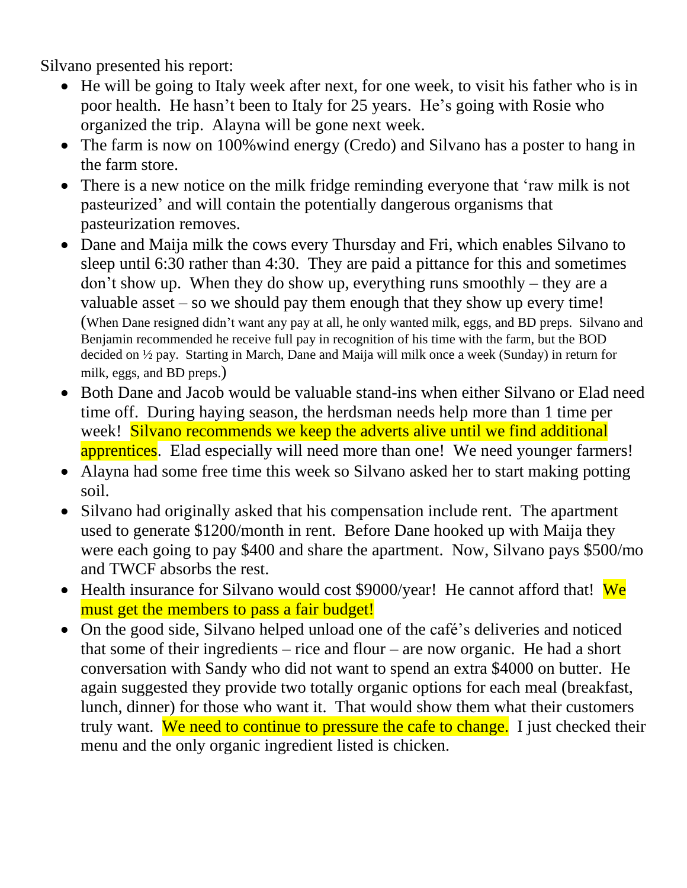Silvano presented his report:

- He will be going to Italy week after next, for one week, to visit his father who is in poor health. He hasn't been to Italy for 25 years. He's going with Rosie who organized the trip. Alayna will be gone next week.
- The farm is now on 100% wind energy (Credo) and Silvano has a poster to hang in the farm store.
- There is a new notice on the milk fridge reminding everyone that 'raw milk is not pasteurized' and will contain the potentially dangerous organisms that pasteurization removes.
- Dane and Maija milk the cows every Thursday and Fri, which enables Silvano to sleep until 6:30 rather than 4:30. They are paid a pittance for this and sometimes don't show up. When they do show up, everything runs smoothly – they are a valuable asset – so we should pay them enough that they show up every time! (When Dane resigned didn't want any pay at all, he only wanted milk, eggs, and BD preps. Silvano and Benjamin recommended he receive full pay in recognition of his time with the farm, but the BOD decided on ½ pay. Starting in March, Dane and Maija will milk once a week (Sunday) in return for milk, eggs, and BD preps.)
- Both Dane and Jacob would be valuable stand-ins when either Silvano or Elad need time off. During haying season, the herdsman needs help more than 1 time per week! Silvano recommends we keep the adverts alive until we find additional apprentices. Elad especially will need more than one! We need younger farmers!
- Alayna had some free time this week so Silvano asked her to start making potting soil.
- Silvano had originally asked that his compensation include rent. The apartment used to generate \$1200/month in rent. Before Dane hooked up with Maija they were each going to pay \$400 and share the apartment. Now, Silvano pays \$500/mo and TWCF absorbs the rest.
- Health insurance for Silvano would cost  $$9000/year!$  He cannot afford that! We must get the members to pass a fair budget!
- On the good side, Silvano helped unload one of the café's deliveries and noticed that some of their ingredients – rice and flour – are now organic. He had a short conversation with Sandy who did not want to spend an extra \$4000 on butter. He again suggested they provide two totally organic options for each meal (breakfast, lunch, dinner) for those who want it. That would show them what their customers truly want. We need to continue to pressure the cafe to change. I just checked their menu and the only organic ingredient listed is chicken.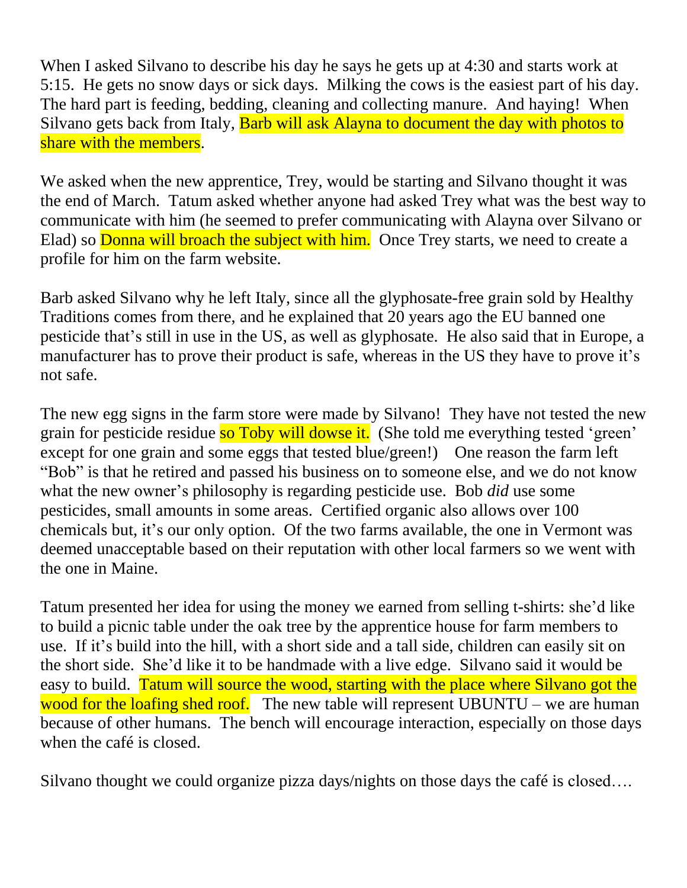When I asked Silvano to describe his day he says he gets up at 4:30 and starts work at 5:15. He gets no snow days or sick days. Milking the cows is the easiest part of his day. The hard part is feeding, bedding, cleaning and collecting manure. And haying! When Silvano gets back from Italy, **Barb will ask Alayna to document the day with photos to** share with the members.

We asked when the new apprentice, Trey, would be starting and Silvano thought it was the end of March. Tatum asked whether anyone had asked Trey what was the best way to communicate with him (he seemed to prefer communicating with Alayna over Silvano or Elad) so **Donna will broach the subject with him.** Once Trey starts, we need to create a profile for him on the farm website.

Barb asked Silvano why he left Italy, since all the glyphosate-free grain sold by Healthy Traditions comes from there, and he explained that 20 years ago the EU banned one pesticide that's still in use in the US, as well as glyphosate. He also said that in Europe, a manufacturer has to prove their product is safe, whereas in the US they have to prove it's not safe.

The new egg signs in the farm store were made by Silvano! They have not tested the new grain for pesticide residue so Toby will dowse it. (She told me everything tested 'green' except for one grain and some eggs that tested blue/green!) One reason the farm left "Bob" is that he retired and passed his business on to someone else, and we do not know what the new owner's philosophy is regarding pesticide use. Bob *did* use some pesticides, small amounts in some areas. Certified organic also allows over 100 chemicals but, it's our only option. Of the two farms available, the one in Vermont was deemed unacceptable based on their reputation with other local farmers so we went with the one in Maine.

Tatum presented her idea for using the money we earned from selling t-shirts: she'd like to build a picnic table under the oak tree by the apprentice house for farm members to use. If it's build into the hill, with a short side and a tall side, children can easily sit on the short side. She'd like it to be handmade with a live edge. Silvano said it would be easy to build. Tatum will source the wood, starting with the place where Silvano got the wood for the loafing shed roof. The new table will represent UBUNTU – we are human because of other humans. The bench will encourage interaction, especially on those days when the café is closed.

Silvano thought we could organize pizza days/nights on those days the café is closed….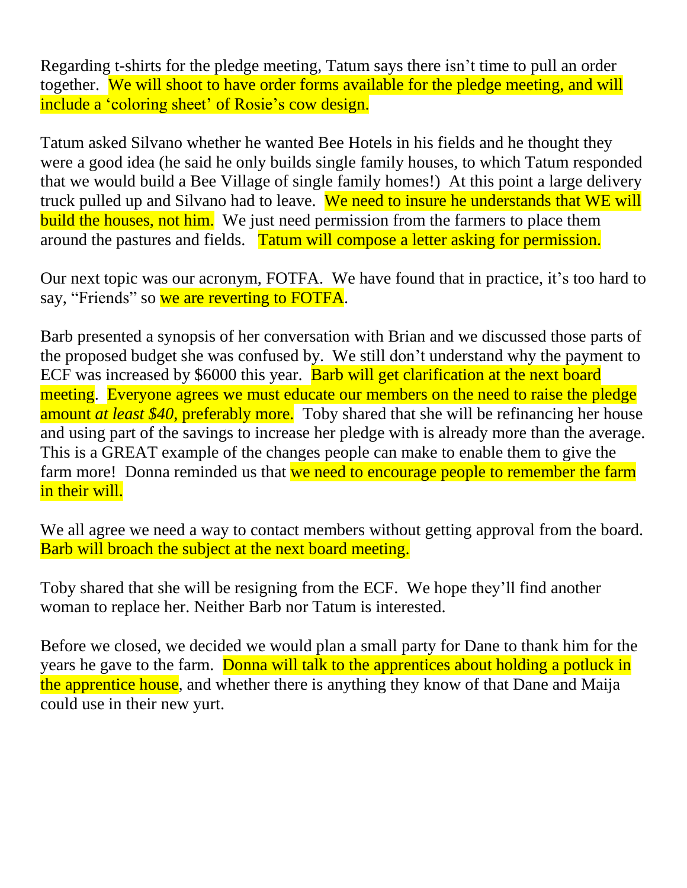Regarding t-shirts for the pledge meeting, Tatum says there isn't time to pull an order together. We will shoot to have order forms available for the pledge meeting, and will include a 'coloring sheet' of Rosie's cow design.

Tatum asked Silvano whether he wanted Bee Hotels in his fields and he thought they were a good idea (he said he only builds single family houses, to which Tatum responded that we would build a Bee Village of single family homes!) At this point a large delivery truck pulled up and Silvano had to leave. We need to insure he understands that WE will build the houses, not him. We just need permission from the farmers to place them around the pastures and fields. Tatum will compose a letter asking for permission.

Our next topic was our acronym, FOTFA. We have found that in practice, it's too hard to say, "Friends" so we are reverting to FOTFA.

Barb presented a synopsis of her conversation with Brian and we discussed those parts of the proposed budget she was confused by. We still don't understand why the payment to ECF was increased by \$6000 this year. **Barb will get clarification at the next board** meeting. Everyone agrees we must educate our members on the need to raise the pledge amount *at least \$40*, preferably more. Toby shared that she will be refinancing her house and using part of the savings to increase her pledge with is already more than the average. This is a GREAT example of the changes people can make to enable them to give the farm more! Donna reminded us that we need to encourage people to remember the farm in their will.

We all agree we need a way to contact members without getting approval from the board. Barb will broach the subject at the next board meeting.

Toby shared that she will be resigning from the ECF. We hope they'll find another woman to replace her. Neither Barb nor Tatum is interested.

Before we closed, we decided we would plan a small party for Dane to thank him for the years he gave to the farm. Donna will talk to the apprentices about holding a potluck in the apprentice house, and whether there is anything they know of that Dane and Maija could use in their new yurt.